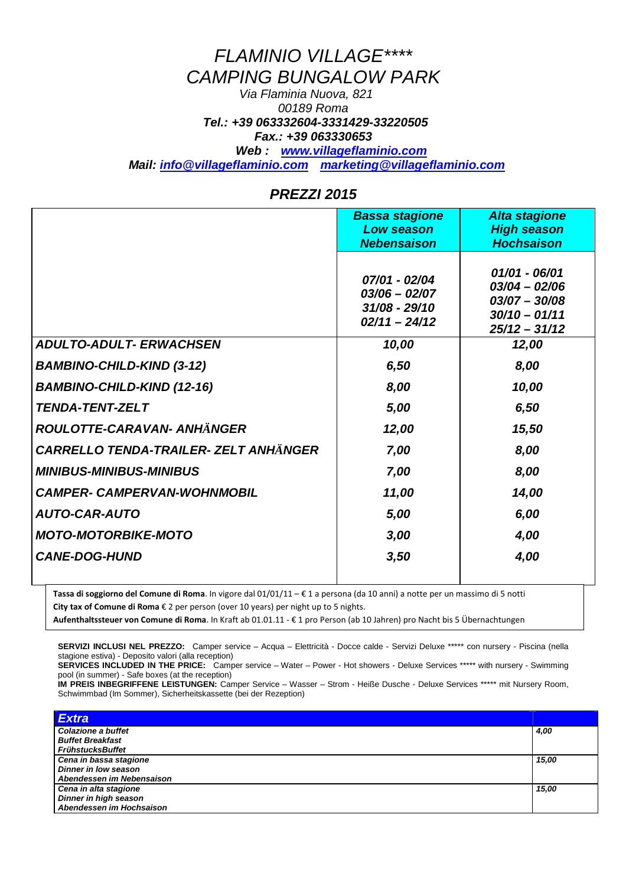## FLAMINIO VILLAGE\*\*\*\* CAMPING BUNGALOW PARK

Via Flaminia Nuova, 821 00189 Roma **Tel.: +39 063332604-3331429-33220505 Fax.: +39 063330653** 

**Web : www.villageflaminio.com**

 **Mail: info@villageflaminio.com marketing@villageflaminio.com**

|                                              | <b>Bassa stagione</b><br>Low season<br><b>Nebensaison</b>              | <b>Alta stagione</b><br><b>High season</b><br><b>Hochsaison</b>                             |
|----------------------------------------------|------------------------------------------------------------------------|---------------------------------------------------------------------------------------------|
|                                              | 07/01 - 02/04<br>$03/06 - 02/07$<br>$31/08 - 29/10$<br>$02/11 - 24/12$ | $01/01 - 06/01$<br>$03/04 - 02/06$<br>$03/07 - 30/08$<br>$30/10 - 01/11$<br>$25/12 - 31/12$ |
| <b>ADULTO-ADULT- ERWACHSEN</b>               | 10,00                                                                  | 12,00                                                                                       |
| <b>BAMBINO-CHILD-KIND (3-12)</b>             | 6,50                                                                   | 8,00                                                                                        |
| <b>BAMBINO-CHILD-KIND (12-16)</b>            | 8,00                                                                   | 10,00                                                                                       |
| <b>TENDA-TENT-ZELT</b>                       | 5,00                                                                   | 6,50                                                                                        |
| ROULOTTE-CARAVAN- ANHÄNGER                   | 12,00                                                                  | 15,50                                                                                       |
| <b>CARRELLO TENDA-TRAILER- ZELT ANHÄNGER</b> | 7,00                                                                   | 8,00                                                                                        |
| <b>MINIBUS-MINIBUS-MINIBUS</b>               | 7,00                                                                   | 8,00                                                                                        |
| <b>CAMPER- CAMPERVAN-WOHNMOBIL</b>           | 11,00                                                                  | 14,00                                                                                       |
| <b>AUTO-CAR-AUTO</b>                         | 5,00                                                                   | 6,00                                                                                        |
| <b>MOTO-MOTORBIKE-MOTO</b>                   | 3,00                                                                   | 4,00                                                                                        |
| <b>CANE-DOG-HUND</b>                         | 3,50                                                                   | 4,00                                                                                        |

**PREZZI 2015** 

**Tassa di soggiorno del Comune di Roma**. In vigore dal 01/01/11 – € 1 a persona (da 10 anni) a notte per un massimo di 5 notti **City tax of Comune di Roma** € 2 per person (over 10 years) per night up to 5 nights.

**Aufenthaltssteuer von Comune di Roma**. In Kraft ab 01.01.11 - € 1 pro Person (ab 10 Jahren) pro Nacht bis 5 Übernachtungen

**SERVIZI INCLUSI NEL PREZZO:** Camper service – Acqua – Elettricità - Docce calde - Servizi Deluxe \*\*\*\*\* con nursery - Piscina (nella stagione estiva) - Deposito valori (alla reception)

**SERVICES INCLUDED IN THE PRICE:** Camper service – Water – Power - Hot showers - Deluxe Services \*\*\*\*\* with nursery - Swimming pool (in summer) - Safe boxes (at the reception)

**IM PREIS INBEGRIFFENE LEISTUNGEN:** Camper Service – Wasser – Strom - Heiße Dusche - Deluxe Services \*\*\*\*\* mit Nursery Room, Schwimmbad (Im Sommer), Sicherheitskassette (bei der Rezeption)

| <b>Extra</b>              |       |
|---------------------------|-------|
| Colazione a buffet        | 4,00  |
| <b>Buffet Breakfast</b>   |       |
| <b>FrühstucksBuffet</b>   |       |
| Cena in bassa stagione    | 15,00 |
| Dinner in low season      |       |
| Abendessen im Nebensaison |       |
| Cena in alta stagione     | 15,00 |
| Dinner in high season     |       |
| Abendessen im Hochsaison  |       |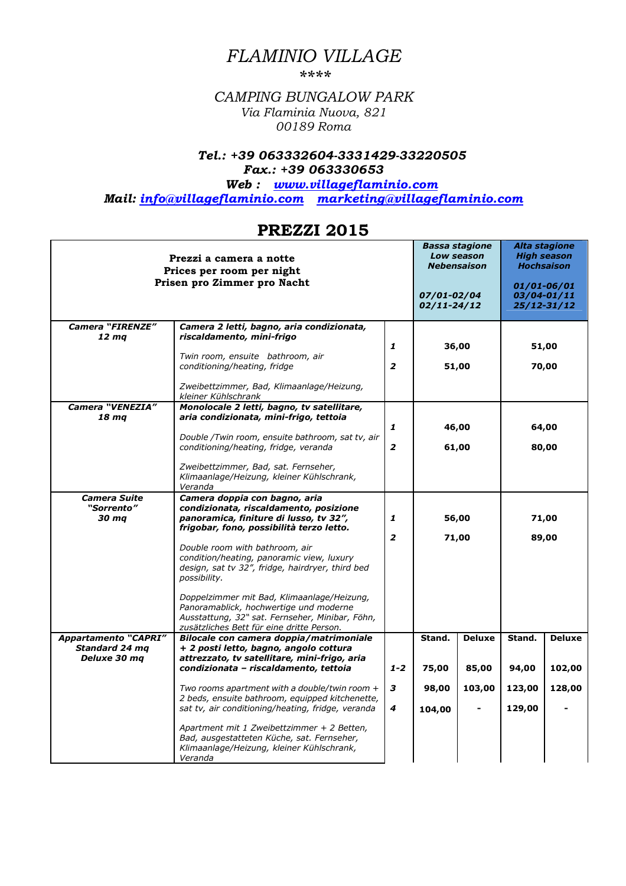# *FLAMINIO VILLAGE*

*\*\*\*\** 

*CAMPING BUNGALOW PARK Via Flaminia Nuova, 821 00189 Roma* 

### *Tel.: +39 063332604-3331429-33220505 Fax.: +39 063330653*

*Web : www.villageflaminio.com Mail: info@villageflaminio.com marketing@villageflaminio.com*

### **PREZZI 2015**

| Prezzi a camera a notte<br>Prices per room per night<br>Prisen pro Zimmer pro Nacht |                                                                                                                                                                                                                                                                                                                                                                                                                                                                                                          |                     | <b>Bassa stagione</b><br>07/01-02/04<br>$02/11 - 24/12$ | Low season<br><b>Nebensaison</b> | <b>Alta stagione</b><br>03/04-01/11 | <b>High season</b><br><b>Hochsaison</b><br>01/01-06/01<br>$25/12 - 31/12$ |
|-------------------------------------------------------------------------------------|----------------------------------------------------------------------------------------------------------------------------------------------------------------------------------------------------------------------------------------------------------------------------------------------------------------------------------------------------------------------------------------------------------------------------------------------------------------------------------------------------------|---------------------|---------------------------------------------------------|----------------------------------|-------------------------------------|---------------------------------------------------------------------------|
| <b>Camera "FIRENZE"</b><br>12 mg                                                    | Camera 2 letti, bagno, aria condizionata,<br>riscaldamento, mini-frigo<br>Twin room, ensuite bathroom, air                                                                                                                                                                                                                                                                                                                                                                                               | 1                   | 36,00                                                   |                                  |                                     | 51,00                                                                     |
|                                                                                     | conditioning/heating, fridge<br>Zweibettzimmer, Bad, Klimaanlage/Heizung,<br>kleiner Kühlschrank                                                                                                                                                                                                                                                                                                                                                                                                         | $\overline{2}$      | 51,00                                                   |                                  |                                     | 70,00                                                                     |
| <b>Camera "VENEZIA"</b><br>18 mg                                                    | Monolocale 2 letti, bagno, tv satellitare,<br>aria condizionata, mini-frigo, tettoia<br>Double /Twin room, ensuite bathroom, sat tv, air<br>conditioning/heating, fridge, veranda<br>Zweibettzimmer, Bad, sat. Fernseher,<br>Klimaanlage/Heizung, kleiner Kühlschrank,<br>Veranda                                                                                                                                                                                                                        | 1<br>$\overline{2}$ | 46,00<br>61,00                                          |                                  | 80,00                               | 64,00                                                                     |
| <b>Camera Suite</b><br>"Sorrento"<br>30 mg                                          | Camera doppia con bagno, aria<br>condizionata, riscaldamento, posizione<br>panoramica, finiture di lusso, tv 32",<br>frigobar, fono, possibilità terzo letto.<br>Double room with bathroom, air<br>condition/heating, panoramic view, luxury<br>design, sat tv 32", fridge, hairdryer, third bed<br>possibility.<br>Doppelzimmer mit Bad, Klimaanlage/Heizung,<br>Panoramablick, hochwertige und moderne<br>Ausstattung, 32" sat. Fernseher, Minibar, Föhn,<br>zusätzliches Bett für eine dritte Person. | 1<br>$\overline{2}$ | 56,00<br>71,00                                          |                                  | 71,00<br>89,00                      |                                                                           |
| <b>Appartamento "CAPRI"</b><br><b>Standard 24 mg</b><br>Deluxe 30 mg                | Bilocale con camera doppia/matrimoniale<br>+ 2 posti letto, bagno, angolo cottura<br>attrezzato, tv satellitare, mini-frigo, aria<br>condizionata - riscaldamento, tettoia<br>Two rooms apartment with a double/twin room +<br>2 beds, ensuite bathroom, equipped kitchenette,<br>sat tv, air conditioning/heating, fridge, veranda<br>Apartment mit 1 Zweibettzimmer + 2 Betten,<br>Bad, ausgestatteten Küche, sat. Fernseher,<br>Klimaanlage/Heizung, kleiner Kühlschrank,<br>Veranda                  | $1 - 2$<br>3<br>4   | Stand.<br>75,00<br>98,00<br>104,00                      | <b>Deluxe</b><br>85,00<br>103,00 | Stand.<br>94,00<br>123,00<br>129,00 | <b>Deluxe</b><br>102,00<br>128,00                                         |